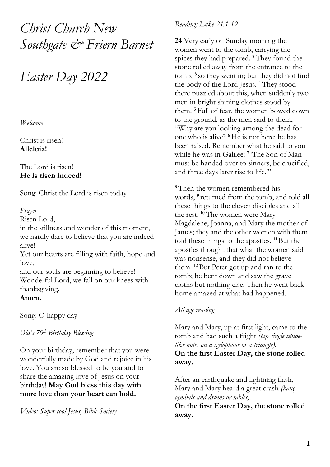*Christ Church New Southgate & Friern Barnet*

# *Easter Day 2022*

*Welcome*

Christ is risen! **Alleluia!**

The Lord is risen! **He is risen indeed!**

Song: Christ the Lord is risen today

# *Prayer*

Risen Lord,

in the stillness and wonder of this moment, we hardly dare to believe that you are indeed alive!

Yet our hearts are filling with faith, hope and love,

and our souls are beginning to believe! Wonderful Lord, we fall on our knees with thanksgiving.

# **Amen.**

Song: O happy day

*Ola's 70th Birthday Blessing*

On your birthday, remember that you were wonderfully made by God and rejoice in his love. You are so blessed to be you and to share the amazing love of Jesus on your birthday! **May God bless this day with more love than your heart can hold.**

*Video: Super cool Jesus, Bible Society* 

# *Reading: Luke 24.1-12*

**24** Very early on Sunday morning the women went to the tomb, carrying the spices they had prepared. **<sup>2</sup>** They found the stone rolled away from the entrance to the tomb, **<sup>3</sup>** so they went in; but they did not find the body of the Lord Jesus. **<sup>4</sup>** They stood there puzzled about this, when suddenly two men in bright shining clothes stood by them. **<sup>5</sup>** Full of fear, the women bowed down to the ground, as the men said to them, "Why are you looking among the dead for one who is alive? **<sup>6</sup>** He is not here; he has been raised. Remember what he said to you while he was in Galilee: **<sup>7</sup>** 'The Son of Man must be handed over to sinners, be crucified, and three days later rise to life.'"

**<sup>8</sup>** Then the women remembered his words, **<sup>9</sup>** returned from the tomb, and told all these things to the eleven disciples and all the rest. **<sup>10</sup>** The women were Mary Magdalene, Joanna, and Mary the mother of James; they and the other women with them told these things to the apostles. **<sup>11</sup>** But the apostles thought that what the women said was nonsense, and they did not believe them. **<sup>12</sup>** But Peter got up and ran to the tomb; he bent down and saw the grave cloths but nothing else. Then he went back home amazed at what had happened.<sup>[\[a\]](https://www.biblegateway.com/passage/?search=Luke+24&version=GNT#fen-GNT-29044a)</sup>

# *All age reading*

Mary and Mary, up at first light, came to the tomb and had such a fright *(tap single tiptoelike notes on a xylophone or a triangle).*

# **On the first Easter Day, the stone rolled away.**

After an earthquake and lightning flash, Mary and Mary heard a great crash *(bang cymbals and drums or tables).*

**On the first Easter Day, the stone rolled away.**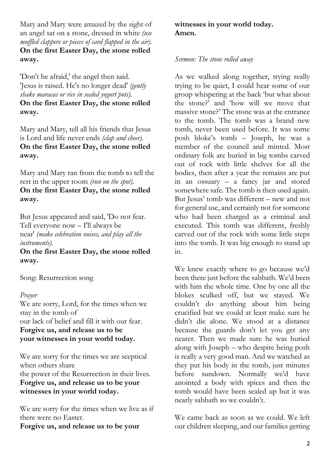Mary and Mary were amazed by the sight of an angel sat on a stone, dressed in white *(use muffled clappers or pieces of card flapped in the air).* **On the first Easter Day, the stone rolled away.**

'Don't be afraid,' the angel then said. 'Jesus is raised. He's no longer dead' *(gently shake maracas or rice in sealed yogurt pots).* **On the first Easter Day, the stone rolled away.**

Mary and Mary, tell all his friends that Jesus is Lord and life never ends *(clap and cheer).* **On the first Easter Day, the stone rolled away.**

Mary and Mary ran from the tomb to tell the rest in the upper room *(run on the spot).* **On the first Easter Day, the stone rolled away.**

But Jesus appeared and said, 'Do not fear. Tell everyone now – I'll always be near' *(make celebration noises, and play all the instruments).*

**On the first Easter Day, the stone rolled away.**

Song: Resurrection song

#### *Prayer*

We are sorry, Lord, for the times when we stay in the tomb of our lack of belief and fill it with our fear. **Forgive us, and release us to be your witnesses in your world today.**

We are sorry for the times we are sceptical when others share the power of the Resurrection in their lives. **Forgive us, and release us to be your witnesses in your world today.**

We are sorry for the times when we live as if there were no Easter.

**Forgive us, and release us to be your** 

# **witnesses in your world today. Amen.**

#### *Sermon: The stone rolled away*

As we walked along together, trying really trying to be quiet, I could hear some of our group whispering at the back 'but what about the stone?' and 'how will we move that massive stone?' The stone was at the entrance to the tomb. The tomb was a brand new tomb, never been used before. It was some posh bloke's tomb – Joseph, he was a member of the council and minted. Most ordinary folk are buried in big tombs carved out of rock with little shelves for all the bodies, then after a year the remains are put in an ossuary – a fancy jar and stored somewhere safe. The tomb is then used again. But Jesus' tomb was different – new and not for general use, and certainly not for someone who had been charged as a criminal and executed. This tomb was different, freshly carved out of the rock with some little steps into the tomb. It was big enough to stand up in.

We knew exactly where to go because we'd been there just before the sabbath. We'd been with him the whole time. One by one all the blokes sculked off, but we stayed. We couldn't do anything about him being crucified but we could at least make sure he didn't die alone. We stood at a distance because the guards don't let you get any nearer. Then we made sure he was buried along with Joseph – who despite being posh is really a very good man. And we watched as they put his body in the tomb, just minutes before sundown. Normally we'd have anointed a body with spices and then the tomb would have been sealed up but it was nearly sabbath so we couldn't.

We came back as soon as we could. We left our children sleeping, and our families getting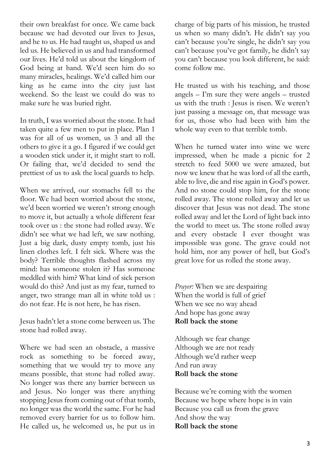their own breakfast for once. We came back because we had devoted our lives to Jesus, and he to us. He had taught us, shaped us and led us. He believed in us and had transformed our lives. He'd told us about the kingdom of God being at hand. We'd seen him do so many miracles, healings. We'd called him our king as he came into the city just last weekend. So the least we could do was to make sure he was buried right.

In truth, I was worried about the stone. It had taken quite a few men to put in place. Plan 1 was for all of us women, us 3 and all the others to give it a go. I figured if we could get a wooden stick under it, it might start to roll. Or failing that, we'd decided to send the prettiest of us to ask the local guards to help.

When we arrived, our stomachs fell to the floor. We had been worried about the stone, we'd been worried we weren't strong enough to move it, but actually a whole different fear took over us : the stone had rolled away. We didn't see what we had left, we saw nothing. Just a big dark, dusty empty tomb, just his linen clothes left. I felt sick. Where was the body? Terrible thoughts flashed across my mind: has someone stolen it? Has someone meddled with him? What kind of sick person would do this? And just as my fear, turned to anger, two strange man all in white told us : do not fear. He is not here, he has risen.

Jesus hadn't let a stone come between us. The stone had rolled away.

Where we had seen an obstacle, a massive rock as something to be forced away, something that we would try to move any means possible, that stone had rolled away. No longer was there any barrier between us and Jesus. No longer was there anything stopping Jesus from coming out of that tomb, no longer was the world the same. For he had removed every barrier for us to follow him. He called us, he welcomed us, he put us in

charge of big parts of his mission, he trusted us when so many didn't. He didn't say you can't because you're single, he didn't say you can't because you've got family, he didn't say you can't because you look different, he said: come follow me.

He trusted us with his teaching, and those angels – I'm sure they were angels – trusted us with the truth : Jesus is risen. We weren't just passing a message on, that message was for us, those who had been with him the whole way even to that terrible tomb.

When he turned water into wine we were impressed, when he made a picnic for 2 stretch to feed 5000 we were amazed, but now we knew that he was lord of all the earth, able to live, die and rise again in God's power. And no stone could stop him, for the stone rolled away. The stone rolled away and let us discover that Jesus was not dead. The stone rolled away and let the Lord of light back into the world to meet us. The stone rolled away and every obstacle I ever thought was impossible was gone. The grave could not hold him, nor any power of hell, but God's great love for us rolled the stone away.

*Prayer:* When we are despairing When the world is full of grief When we see no way ahead And hope has gone away **Roll back the stone**

Although we fear change Although we are not ready Although we'd rather weep And run away **Roll back the stone**

Because we're coming with the women Because we hope where hope is in vain Because you call us from the grave And show the way **Roll back the stone**